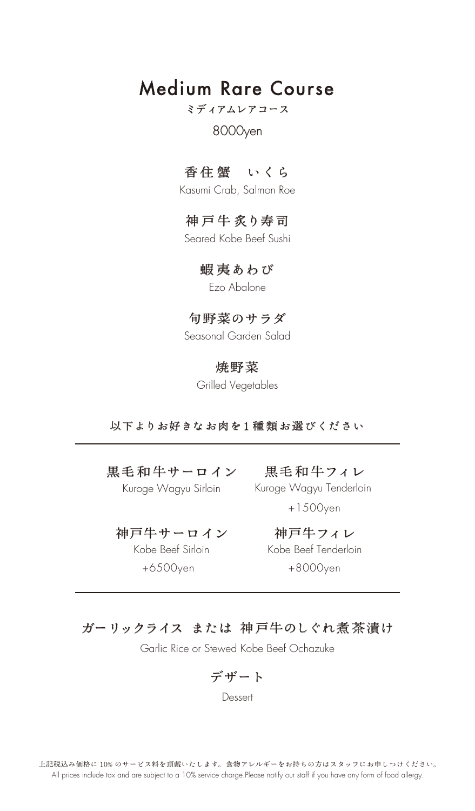# Medium Rare Course

# ミディアムレアコース

### 8000yen

### 香住 蟹 いくら

Kasumi Crab, Salmon Roe

# 神戸牛 炙り寿司

Seared Kobe Beef Sushi

### 蝦 夷あわび

Ezo Abalone

### 旬野菜のサラダ

Seasonal Garden Salad

### 焼野菜

Grilled Vegetables

#### 以下よりお好きなお肉を1 種 類お選びください

黒毛和牛サーロイン 黒毛和牛フィレ

Kuroge Wagyu Sirloin

Kobe Beef Sirloin

Kuroge Wagyu Tenderloin

+1500yen

神戸牛サーロイン 神戸牛フィレ +6500yen +8000yen Kobe Beef Tenderloin

## ガーリックライス または 神戸牛のしぐれ煮茶漬け

Garlic Rice or Stewed Kobe Beef Ochazuke

デザート

**Dessert**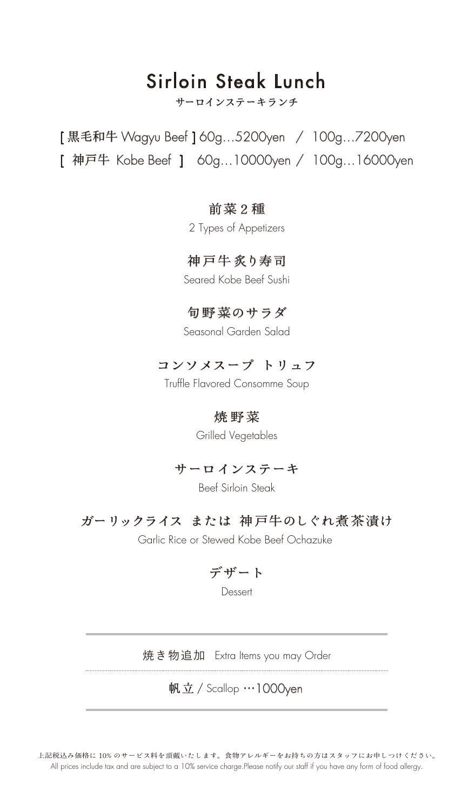# サーロインステーキランチ Sirloin Steak Lunch

[ 黒毛和牛 Wagyu Beef ] 60g…5200yen / 100g…7200yen [ 神戸牛 Kobe Beef ] 60g…10000yen / 100g…16000yen

### 前菜2種

2 Types of Appetizers

### 神戸牛炙り寿司

Seared Kobe Beef Sushi

### 旬野菜のサラダ

Seasonal Garden Salad

### コンソメスープ トリュフ

Truffle Flavored Consomme Soup

### 焼 野菜

Grilled Vegetables

### サーロインステーキ

Beef Sirloin Steak

### ガーリックライス または 神戸牛のしぐれ煮茶漬け

Garlic Rice or Stewed Kobe Beef Ochazuke

### デザート

Dessert

焼き物追加 Extra Items you may Order

# 帆立 / Scallop …1000yen

上記税込み価格に 10% のサービス料を頂戴いたします。食物アレルギーをお持ちの方はスタッフにお申しつけください。 All prices include tax and are subject to a 10% service charge.Please notify our staff if you have any form of food allergy.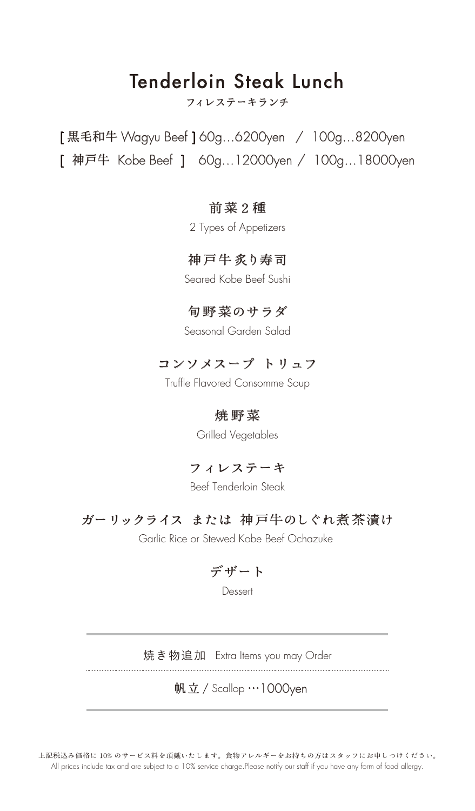# フィレステーキランチ Tenderloin Steak Lunch

[ 黒毛和牛 Wagyu Beef ] 60g…6200yen / 100g…8200yen [ 神戸牛 Kobe Beef ] 60g…12000yen / 100g…18000yen

### 前菜2種

2 Types of Appetizers

### 神戸牛炙り寿司

Seared Kobe Beef Sushi

### 旬野菜のサラダ

Seasonal Garden Salad

## コンソメスープ トリュフ

Truffle Flavored Consomme Soup

### 焼野菜

Grilled Vegetables

## フィレステーキ

Beef Tenderloin Steak

# ガーリックライス または 神戸牛のしぐれ煮茶漬け

Garlic Rice or Stewed Kobe Beef Ochazuke

## デザート

Dessert

焼き物追加 Extra Items you may Order

## 帆立 / Scallop …1000yen

上記税込み価格に 10% のサービス料を頂戴いたします。食物アレルギーをお持ちの方はスタッフにお申しつけください。 All prices include tax and are subject to a 10% service charge.Please notify our staff if you have any form of food allergy.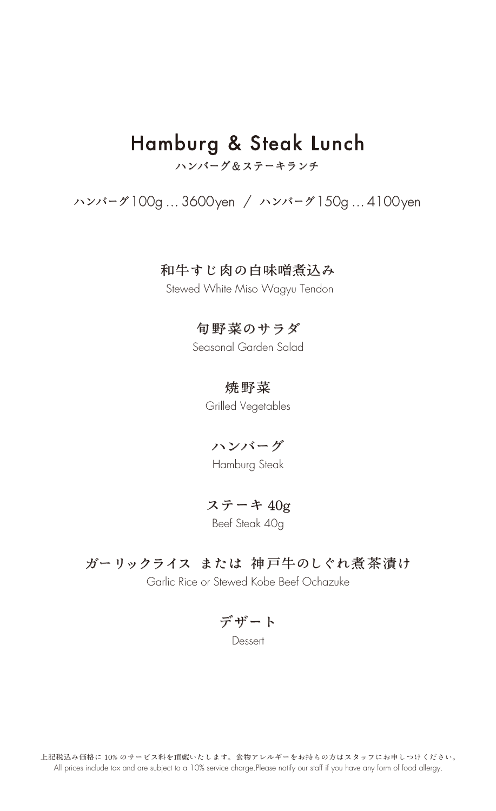# ハンバーグ&ステーキランチ Hamburg & Steak Lunch

# ハンバーグ100g … 3600yen / ハンバーグ150g … 4100yen

#### 和牛すじ肉の白味噌煮込み

Stewed White Miso Wagyu Tendon

### 旬野菜のサラダ

Seasonal Garden Salad

#### 焼野菜

Grilled Vegetables

### ハンバーグ

Hamburg Steak

# ステーキ 40g

Beef Steak 40g

### ガーリックライス または 神戸牛のしぐれ煮茶漬け

Garlic Rice or Stewed Kobe Beef Ochazuke

デザート

Dessert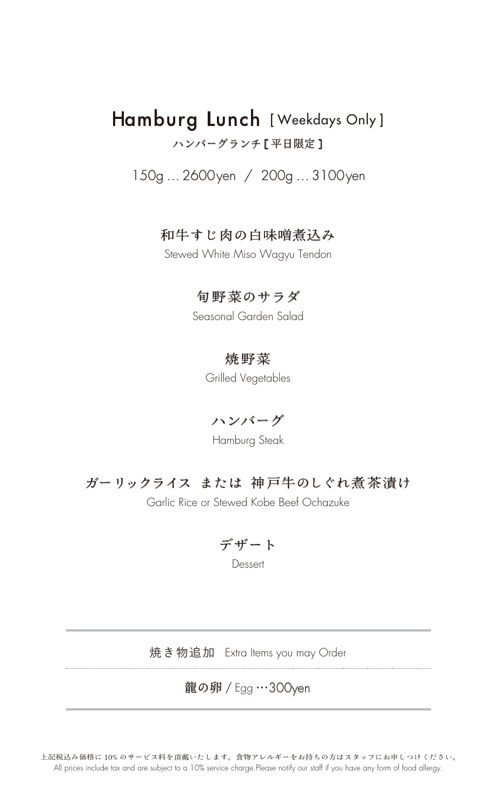# ハンバーグランチ [ 平日限定 ] Hamburg Lunch [ Weekdays Only ]

150g … 2600yen / 200g … 3100yen

# 和牛すじ肉の白味噌煮込み

Stewed White Miso Wagyu Tendon

### 旬野菜のサラダ

Seasonal Garden Salad

## 焼野菜

Grilled Vegetables

ハンバーグ

Hamburg Steak

# ガーリックライス または 神戸牛のしぐれ煮茶漬け

Garlic Rice or Stewed Kobe Beef Ochazuke

デザート

**Dessert** 

焼き物追加 Extra Items you may Order

# 龍の卵 / Egg …300yen

上記税込み価格に 10% のサービス料を頂戴いたします。食物アレルギーをお持ちの方はスタッフにお申しつけください。 All prices include tax and are subject to a 10% service charge.Please notify our staff if you have any form of food allergy.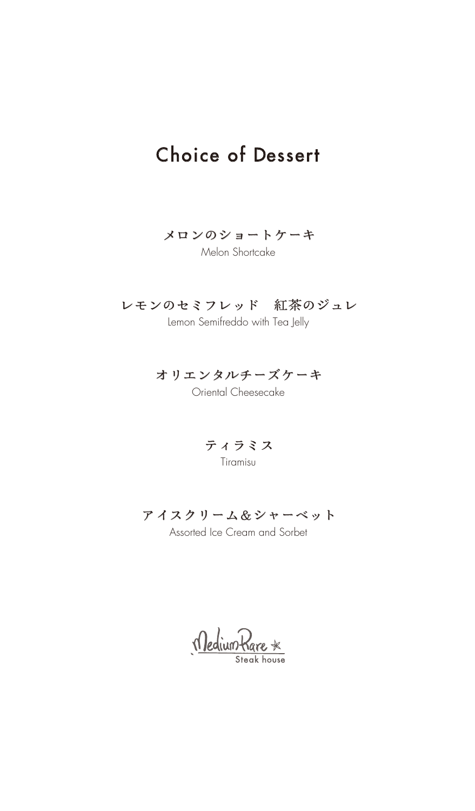# Choice of Dessert

### メロンのショートケーキ

Melon Shortcake

# レモンのセミフレッド 紅茶のジュレ

Lemon Semifreddo with Tea Jelly

# オリエンタルチーズケーキ

Oriental Cheesecake

ティラミス

Tiramisu

# アイスクリーム&シャーベット

Assorted Ice Cream and Sorbet

<u>Medium Rare</u>